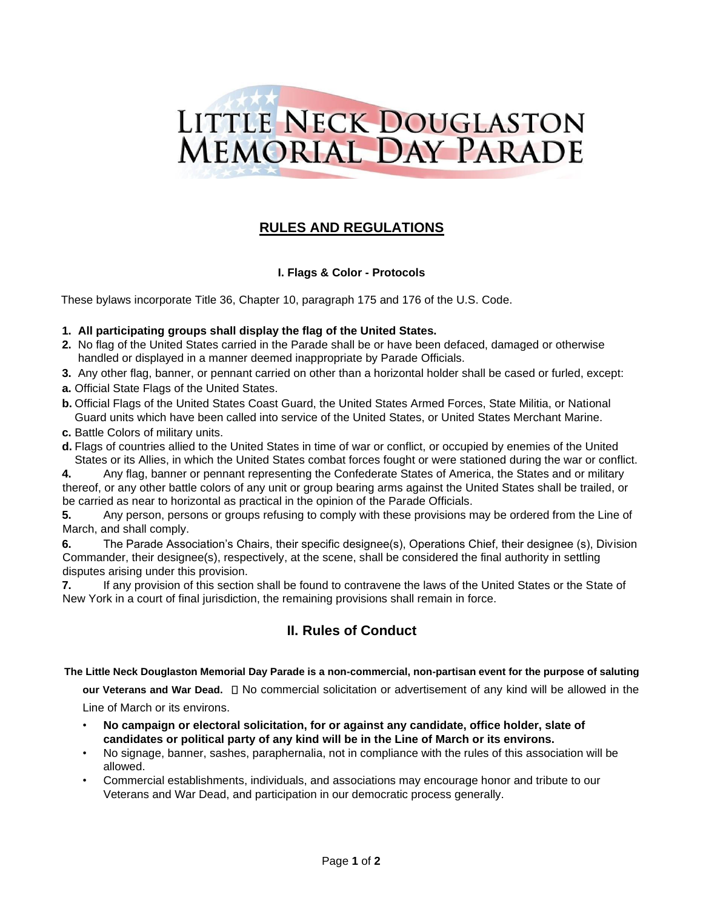

# **RULES AND REGULATIONS**

## **I. Flags & Color - Protocols**

These bylaws incorporate Title 36, Chapter 10, paragraph 175 and 176 of the U.S. Code.

### **1. All participating groups shall display the flag of the United States.**

- **2.** No flag of the United States carried in the Parade shall be or have been defaced, damaged or otherwise handled or displayed in a manner deemed inappropriate by Parade Officials.
- **3.** Any other flag, banner, or pennant carried on other than a horizontal holder shall be cased or furled, except:
- **a.** Official State Flags of the United States.
- **b.** Official Flags of the United States Coast Guard, the United States Armed Forces, State Militia, or National Guard units which have been called into service of the United States, or United States Merchant Marine.
- **c.** Battle Colors of military units.
- **d.** Flags of countries allied to the United States in time of war or conflict, or occupied by enemies of the United States or its Allies, in which the United States combat forces fought or were stationed during the war or conflict.

**4.** Any flag, banner or pennant representing the Confederate States of America, the States and or military thereof, or any other battle colors of any unit or group bearing arms against the United States shall be trailed, or be carried as near to horizontal as practical in the opinion of the Parade Officials.

**5.** Any person, persons or groups refusing to comply with these provisions may be ordered from the Line of March, and shall comply.

**6.** The Parade Association's Chairs, their specific designee(s), Operations Chief, their designee (s), Division Commander, their designee(s), respectively, at the scene, shall be considered the final authority in settling disputes arising under this provision.

**7.** If any provision of this section shall be found to contravene the laws of the United States or the State of New York in a court of final jurisdiction, the remaining provisions shall remain in force.

# **II. Rules of Conduct**

#### **The Little Neck Douglaston Memorial Day Parade is a non-commercial, non-partisan event for the purpose of saluting**

**our Veterans and War Dead.**  $\Box$  No commercial solicitation or advertisement of any kind will be allowed in the Line of March or its environs.

- **No campaign or electoral solicitation, for or against any candidate, office holder, slate of candidates or political party of any kind will be in the Line of March or its environs.**
- No signage, banner, sashes, paraphernalia, not in compliance with the rules of this association will be allowed.
- Commercial establishments, individuals, and associations may encourage honor and tribute to our Veterans and War Dead, and participation in our democratic process generally.